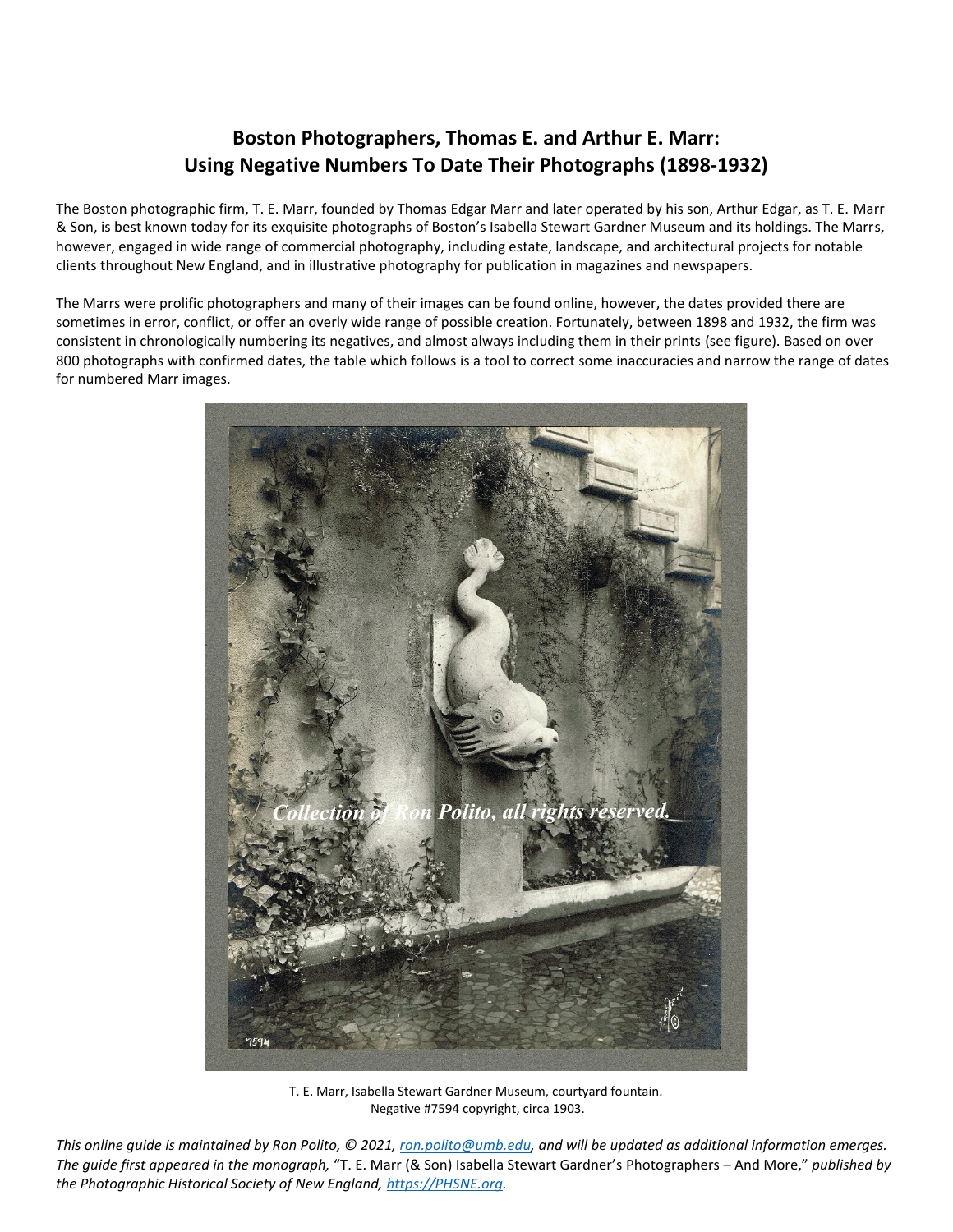## **Boston Photographers, Thomas E. and Arthur E. Marr: Using Negative Numbers To Date Their Photographs (1898-1932)**

The Boston photographic firm, T. E. Marr, founded by Thomas Edgar Marr and later operated by his son, Arthur Edgar, as T. E. Marr & Son, is best known today for its exquisite photographs of Boston's Isabella Stewart Gardner Museum and its holdings. The Marrs, however, engaged in wide range of commercial photography, including estate, landscape, and architectural projects for notable clients throughout New England, and in illustrative photography for publication in magazines and newspapers.

The Marrs were prolific photographers and many of their images can be found online, however, the dates provided there are sometimes in error, conflict, or offer an overly wide range of possible creation. Fortunately, between 1898 and 1932, the firm was consistent in chronologically numbering its negatives, and almost always including them in their prints (see figure). Based on over 800 photographs with confirmed dates, the table which follows is a tool to correct some inaccuracies and narrow the range of dates for numbered Marr images.



T. E. Marr, Isabella Stewart Gardner Museum, courtyard fountain. Negative #7594 copyright, circa 1903.

*This online guide is maintained by Ron Polito, © 2021, [ron.polito@umb.edu,](mailto:ron.polito@umb.edu) and will be updated as additional information emerges. The guide first appeared in the monograph,* "T. E. Marr (& Son) Isabella Stewart Gardner's Photographers – And More," *published by the Photographic Historical Society of New England, [https://PHSNE.org.](https://phsne.org/)*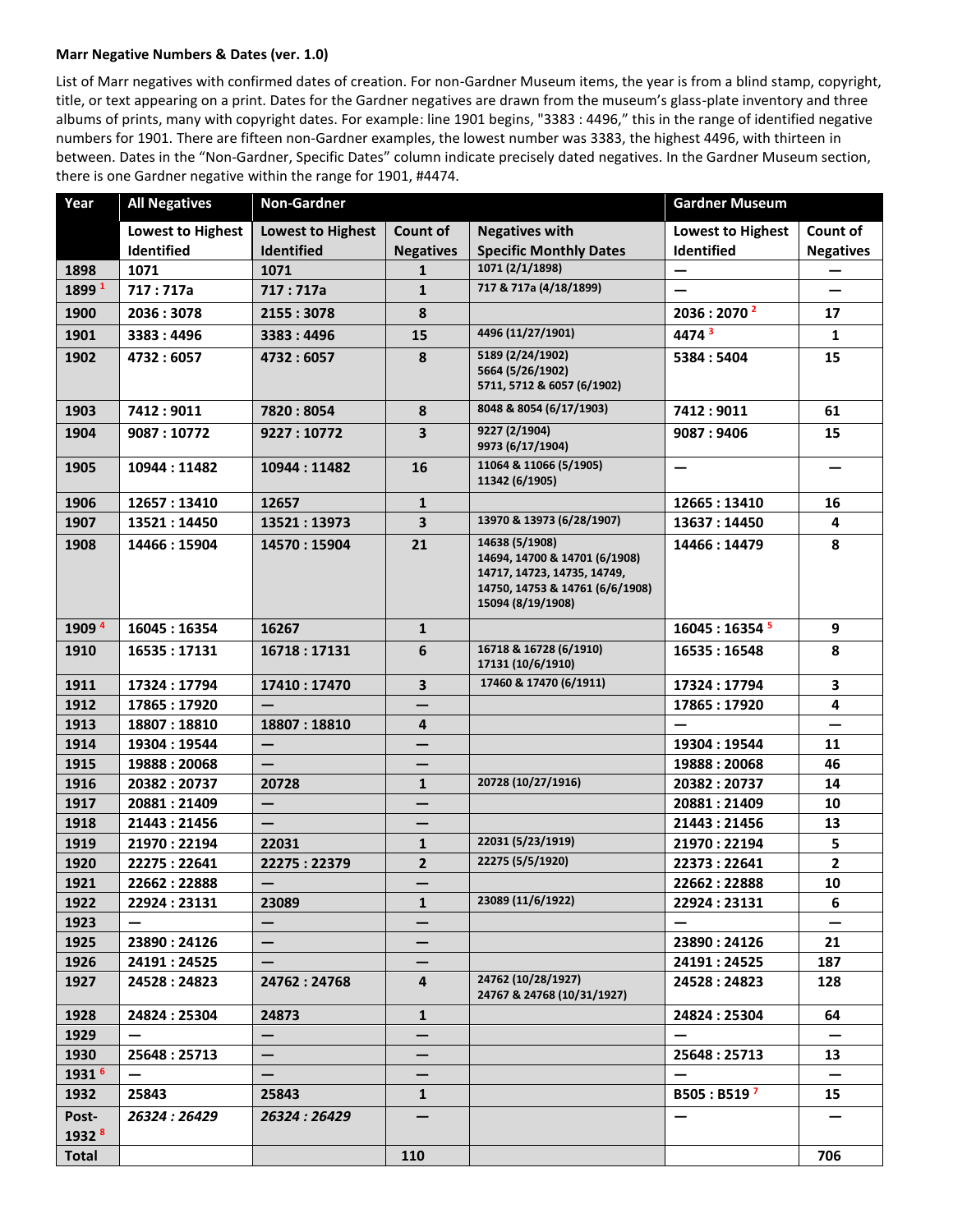## **Marr Negative Numbers & Dates (ver. 1.0)**

List of Marr negatives with confirmed dates of creation. For non-Gardner Museum items, the year is from a blind stamp, copyright, title, or text appearing on a print. Dates for the Gardner negatives are drawn from the museum's glass-plate inventory and three albums of prints, many with copyright dates. For example: line 1901 begins, "3383 : 4496," this in the range of identified negative numbers for 1901. There are fifteen non-Gardner examples, the lowest number was 3383, the highest 4496, with thirteen in between. Dates in the "Non-Gardner, Specific Dates" column indicate precisely dated negatives. In the Gardner Museum section, there is one Gardner negative within the range for 1901, #4474.

| Year                       | <b>All Negatives</b>     | <b>Non-Gardner</b>       |                         |                                                                                                                                        | <b>Gardner Museum</b>      |                         |
|----------------------------|--------------------------|--------------------------|-------------------------|----------------------------------------------------------------------------------------------------------------------------------------|----------------------------|-------------------------|
|                            | <b>Lowest to Highest</b> | <b>Lowest to Highest</b> | Count of                | <b>Negatives with</b>                                                                                                                  | <b>Lowest to Highest</b>   | Count of                |
|                            | Identified               | <b>Identified</b>        | <b>Negatives</b>        | <b>Specific Monthly Dates</b>                                                                                                          | Identified                 | <b>Negatives</b>        |
| 1898                       | 1071                     | 1071                     | $\mathbf{1}$            | 1071 (2/1/1898)                                                                                                                        | —                          |                         |
| 1899 1                     | 717:717a                 | 717:717a                 | $\mathbf{1}$            | 717 & 717a (4/18/1899)                                                                                                                 |                            |                         |
| 1900                       | 2036:3078                | 2155:3078                | 8                       |                                                                                                                                        | 2036:2070 <sup>2</sup>     | 17                      |
| 1901                       | 3383:4496                | 3383:4496                | 15                      | 4496 (11/27/1901)                                                                                                                      | 4474 <sup>3</sup>          | 1                       |
| 1902                       | 4732:6057                | 4732:6057                | 8                       | 5189 (2/24/1902)<br>5664 (5/26/1902)<br>5711, 5712 & 6057 (6/1902)                                                                     | 5384:5404                  | 15                      |
| 1903                       | 7412:9011                | 7820:8054                | 8                       | 8048 & 8054 (6/17/1903)                                                                                                                | 7412:9011                  | 61                      |
| 1904                       | 9087:10772               | 9227 : 10772             | 3                       | 9227 (2/1904)<br>9973 (6/17/1904)                                                                                                      | 9087:9406                  | 15                      |
| 1905                       | 10944:11482              | 10944:11482              | 16                      | 11064 & 11066 (5/1905)<br>11342 (6/1905)                                                                                               | $\overline{\phantom{0}}$   |                         |
| 1906                       | 12657:13410              | 12657                    | $\mathbf{1}$            |                                                                                                                                        | 12665:13410                | 16                      |
| 1907                       | 13521:14450              | 13521:13973              | 3                       | 13970 & 13973 (6/28/1907)                                                                                                              | 13637: 14450               | 4                       |
| 1908                       | 14466:15904              | 14570:15904              | 21                      | 14638 (5/1908)<br>14694, 14700 & 14701 (6/1908)<br>14717, 14723, 14735, 14749,<br>14750, 14753 & 14761 (6/6/1908)<br>15094 (8/19/1908) | 14466: 14479               | 8                       |
| 1909 4                     | 16045:16354              | 16267                    | $\mathbf{1}$            |                                                                                                                                        | 16045:16354 <sup>5</sup>   | 9                       |
| 1910                       | 16535:17131              | 16718:17131              | 6                       | 16718 & 16728 (6/1910)<br>17131 (10/6/1910)                                                                                            | 16535:16548                | 8                       |
| 1911                       | 17324:17794              | 17410: 17470             | 3                       | 17460 & 17470 (6/1911)                                                                                                                 | 17324: 17794               | 3                       |
| 1912                       | 17865: 17920             |                          |                         |                                                                                                                                        | 17865: 17920               | 4                       |
| 1913                       | 18807:18810              | 18807:18810              | 4                       |                                                                                                                                        |                            |                         |
| 1914                       | 19304: 19544             | $\qquad \qquad -$        |                         |                                                                                                                                        | 19304: 19544               | 11                      |
| 1915                       | 19888:20068              |                          |                         |                                                                                                                                        | 19888:20068                | 46                      |
| 1916                       | 20382:20737              | 20728                    | $\mathbf{1}$            | 20728 (10/27/1916)                                                                                                                     | 20382:20737                | 14                      |
| 1917                       | 20881:21409              |                          |                         |                                                                                                                                        | 20881:21409                | 10                      |
| 1918                       | 21443:21456              |                          |                         |                                                                                                                                        | 21443:21456                | 13                      |
| 1919                       | 21970:22194              | 22031                    | $\mathbf{1}$            | 22031 (5/23/1919)                                                                                                                      | 21970: 22194               | 5                       |
| 1920                       | 22275:22641              | 22275:22379              | $\overline{2}$          | 22275 (5/5/1920)                                                                                                                       | 22373:22641                | $\overline{\mathbf{2}}$ |
| 1921                       | 22662:22888              | $\qquad \qquad -$        |                         |                                                                                                                                        | 22662:22888                | 10                      |
| 1922                       | 22924:23131              | 23089                    | 1                       | 23089 (11/6/1922)                                                                                                                      | 22924:23131                | 6                       |
| 1923                       |                          | $\qquad \qquad -$        |                         |                                                                                                                                        |                            |                         |
| 1925                       | 23890:24126              | $\qquad \qquad -$        |                         |                                                                                                                                        | 23890:24126                | 21                      |
| 1926                       | 24191:24525              |                          | $\overline{\mathbf{4}}$ | 24762 (10/28/1927)                                                                                                                     | 24191:24525                | 187                     |
| 1927                       | 24528:24823              | 24762:24768              |                         | 24767 & 24768 (10/31/1927)                                                                                                             | 24528:24823                | 128                     |
| 1928                       | 24824:25304              | 24873                    | $\mathbf{1}$            |                                                                                                                                        | 24824:25304                | 64                      |
| 1929                       |                          | $\qquad \qquad -$        |                         |                                                                                                                                        |                            |                         |
| 1930                       | 25648:25713              | $\qquad \qquad -$        |                         |                                                                                                                                        | 25648:25713                | 13                      |
| 1931 <sup>6</sup>          |                          |                          |                         |                                                                                                                                        |                            |                         |
| 1932                       | 25843                    | 25843                    | $\mathbf{1}$            |                                                                                                                                        | $B505 : B519$ <sup>7</sup> | 15                      |
| Post-<br>1932 <sup>8</sup> | 26324:26429              | 26324:26429              |                         |                                                                                                                                        | —                          |                         |
| <b>Total</b>               |                          |                          | 110                     |                                                                                                                                        |                            | 706                     |